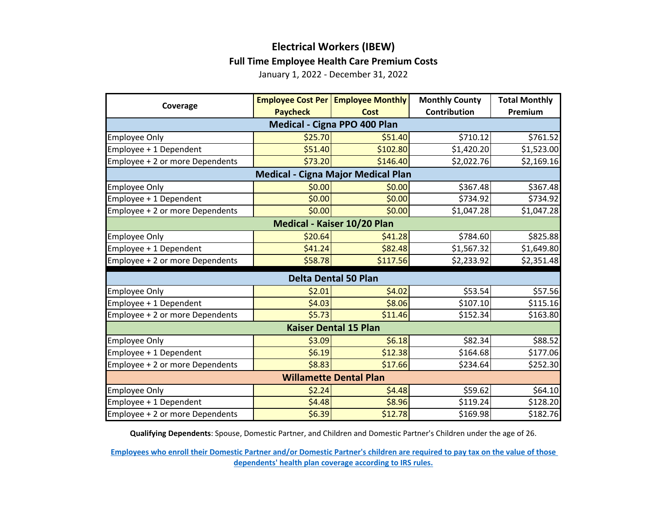## **Electrical Workers (IBEW) Full Time Employee Health Care Premium Costs**

January 1, 2022 - December 31, 2022

| Coverage                                  |                 | <b>Employee Cost Per   Employee Monthly</b> | <b>Monthly County</b> | <b>Total Monthly</b> |  |  |
|-------------------------------------------|-----------------|---------------------------------------------|-----------------------|----------------------|--|--|
|                                           | <b>Paycheck</b> | <b>Cost</b>                                 | Contribution          | Premium              |  |  |
| Medical - Cigna PPO 400 Plan              |                 |                                             |                       |                      |  |  |
| <b>Employee Only</b>                      | \$25.70         | \$51.40                                     | \$710.12              | \$761.52             |  |  |
| Employee + 1 Dependent                    | \$51.40         | \$102.80                                    | \$1,420.20            | \$1,523.00           |  |  |
| Employee + 2 or more Dependents           | \$73.20         | \$146.40                                    | \$2,022.76            | \$2,169.16           |  |  |
| <b>Medical - Cigna Major Medical Plan</b> |                 |                                             |                       |                      |  |  |
| <b>Employee Only</b>                      | \$0.00          | \$0.00                                      | \$367.48              | \$367.48             |  |  |
| Employee + 1 Dependent                    | \$0.00          | \$0.00                                      | \$734.92              | \$734.92             |  |  |
| Employee + 2 or more Dependents           | \$0.00          | \$0.00                                      | \$1,047.28            | \$1,047.28           |  |  |
| Medical - Kaiser 10/20 Plan               |                 |                                             |                       |                      |  |  |
| <b>Employee Only</b>                      | \$20.64         | \$41.28                                     | \$784.60              | \$825.88             |  |  |
| Employee + 1 Dependent                    | \$41.24         | \$82.48                                     | \$1,567.32            | \$1,649.80           |  |  |
| Employee + 2 or more Dependents           | \$58.78         | \$117.56                                    | \$2,233.92            | \$2,351.48           |  |  |
| <b>Delta Dental 50 Plan</b>               |                 |                                             |                       |                      |  |  |
| <b>Employee Only</b>                      | \$2.01          | \$4.02                                      | \$53.54               | \$57.56              |  |  |
| Employee + 1 Dependent                    | \$4.03          | \$8.06                                      | \$107.10              | \$115.16             |  |  |
| Employee + 2 or more Dependents           | \$5.73          | \$11.46                                     | \$152.34              | \$163.80             |  |  |
| <b>Kaiser Dental 15 Plan</b>              |                 |                                             |                       |                      |  |  |
| <b>Employee Only</b>                      | \$3.09          | \$6.18                                      | \$82.34               | \$88.52              |  |  |
| Employee + 1 Dependent                    | \$6.19          | \$12.38                                     | \$164.68              | \$177.06             |  |  |
| Employee + 2 or more Dependents           | \$8.83          | \$17.66                                     | \$234.64              | \$252.30             |  |  |
| <b>Willamette Dental Plan</b>             |                 |                                             |                       |                      |  |  |
| <b>Employee Only</b>                      | \$2.24          | \$4.48                                      | \$59.62               | \$64.10              |  |  |
| Employee + 1 Dependent                    | \$4.48          | \$8.96                                      | \$119.24              | \$128.20             |  |  |
| Employee + 2 or more Dependents           | \$6.39          | \$12.78                                     | \$169.98              | \$182.76             |  |  |

**Qualifying Dependents**: Spouse, Domestic Partner, and Children and Domestic Partner's Children under the age of 26.

**[Employees who enroll their Domestic Partner and/or Domestic Partner's children are](https://multco.us/benefits/non-irs-eligible-dependents-domestic-partners-and-their-children) required to pay tax on the value of those [dependents' health plan coverage according to IRS](https://multco.us/benefits/non-irs-eligible-dependents-domestic-partners-and-their-children) rules.**